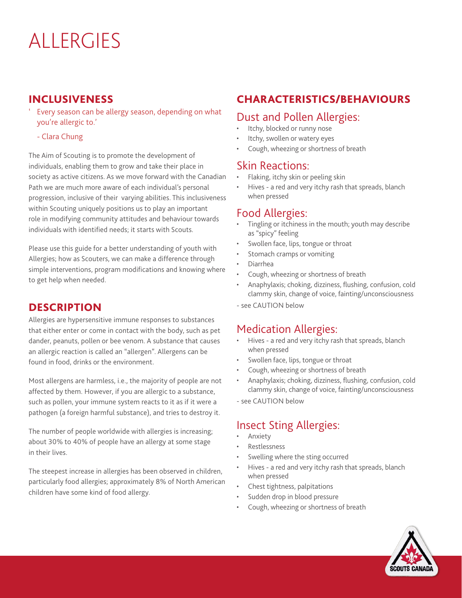# ALLERGIES

#### INCLUSIVENESS

- Every season can be allergy season, depending on what you're allergic to.'
	- Clara Chung

The Aim of Scouting is to promote the development of individuals, enabling them to grow and take their place in society as active citizens. As we move forward with the Canadian Path we are much more aware of each individual's personal progression, inclusive of their varying abilities. This inclusiveness within Scouting uniquely positions us to play an important role in modifying community attitudes and behaviour towards individuals with identified needs; it starts with Scouts.

Please use this guide for a better understanding of youth with Allergies; how as Scouters, we can make a difference through simple interventions, program modifications and knowing where to get help when needed.

#### **DESCRIPTION**

Allergies are hypersensitive immune responses to substances that either enter or come in contact with the body, such as pet dander, peanuts, pollen or bee venom. A substance that causes an allergic reaction is called an "allergen". Allergens can be found in food, drinks or the environment.

Most allergens are harmless, i.e., the majority of people are not affected by them. However, if you are allergic to a substance, such as pollen, your immune system reacts to it as if it were a pathogen (a foreign harmful substance), and tries to destroy it.

The number of people worldwide with allergies is increasing; about 30% to 40% of people have an allergy at some stage in their lives.

The steepest increase in allergies has been observed in children, particularly food allergies; approximately 8% of North American children have some kind of food allergy.

# CHARACTERISTICS/BEHAVIOURS

#### Dust and Pollen Allergies:

- Itchy, blocked or runny nose
- Itchy, swollen or watery eyes
- Cough, wheezing or shortness of breath

#### Skin Reactions:

- Flaking, itchy skin or peeling skin
- Hives a red and very itchy rash that spreads, blanch when pressed

#### Food Allergies:

- Tingling or itchiness in the mouth; youth may describe as "spicy" feeling
- Swollen face, lips, tongue or throat
- Stomach cramps or vomiting
- Diarrhea
- Cough, wheezing or shortness of breath
- Anaphylaxis; choking, dizziness, flushing, confusion, cold clammy skin, change of voice, fainting/unconsciousness
- see CAUTION below

#### Medication Allergies:

- Hives a red and very itchy rash that spreads, blanch when pressed
- Swollen face, lips, tongue or throat
- Cough, wheezing or shortness of breath
- Anaphylaxis; choking, dizziness, flushing, confusion, cold clammy skin, change of voice, fainting/unconsciousness
- see CAUTION below

# Insect Sting Allergies:

- **Anxiety**
- Restlessness
- Swelling where the sting occurred
- Hives a red and very itchy rash that spreads, blanch when pressed
- Chest tightness, palpitations
- Sudden drop in blood pressure
- Cough, wheezing or shortness of breath